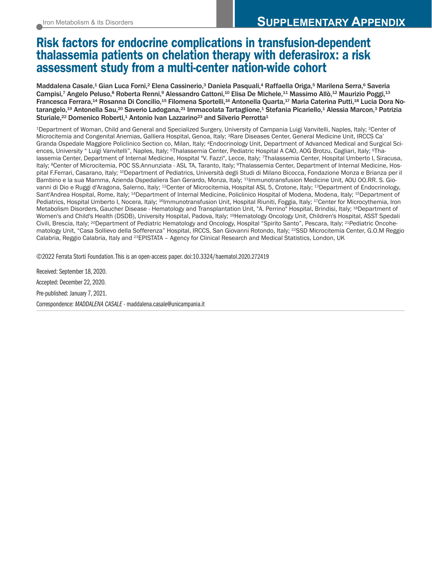## Risk factors for endocrine complications in transfusion-dependent thalassemia patients on chelation therapy with deferasirox: a risk assessment study from a multi-center nation-wide cohort

Maddalena Casale,<sup>1</sup> Gian Luca Forni,<sup>2</sup> Elena Cassinerio,<sup>3</sup> Daniela Pasquali,<sup>4</sup> Raffaella Origa,<sup>5</sup> Marilena Serra,<sup>6</sup> Saveria Campisi,7 Angelo Peluso,8 Roberta Renni,9 Alessandro Cattoni,<sup>10</sup> Elisa De Michele,<sup>11</sup> Massimo Allò,<sup>12</sup> Maurizio Poggi,<sup>13</sup> Francesca Ferrara,<sup>14</sup> Rosanna Di Concilio,<sup>15</sup> Filomena Sportelli,<sup>16</sup> Antonella Quarta,<sup>17</sup> Maria Caterina Putti,<sup>18</sup> Lucia Dora Notarangelo,<sup>19</sup> Antonella Sau,<sup>20</sup> Saverio Ladogana,<sup>21</sup> Immacolata Tartaglione,<sup>1</sup> Stefania Picariello,<sup>1</sup> Alessia Marcon,<sup>3</sup> Patrizia Sturiale,<sup>22</sup> Domenico Roberti,<sup>1</sup> Antonio Ivan Lazzarino<sup>23</sup> and Silverio Perrotta<sup>1</sup>

1Department of Woman, Child and General and Specialized Surgery, University of Campania Luigi Vanvitelli, Naples, Italy; 2Center of Microcitemia and Congenital Anemias, Galliera Hospital, Genoa, Italy; 3Rare Diseases Center, General Medicine Unit, IRCCS Ca' Granda Ospedale Maggiore Policlinico Section co, Milan, Italy; 4Endocrinology Unit, Department of Advanced Medical and Surgical Sciences, University " Luigi Vanvitelli", Naples, Italy; <sup>5</sup>Thalassemia Center, Pediatric Hospital A CAO, AOG Brotzu, Cagliari, Italy; <sup>6</sup>Thalassemia Center, Department of Internal Medicine, Hospital "V. Fazzi", Lecce, Italy; 7Thalassemia Center, Hospital Umberto I, Siracusa, Italy; <sup>8</sup>Center of Microcitemia, POC SS.Annunziata - ASL TA, Taranto, Italy; <sup>9</sup>Thalassemia Center, Department of Internal Medicine, Hospital F.Ferrari, Casarano, Italy; 10Department of Pediatrics, Università degli Studi di Milano Bicocca, Fondazione Monza e Brianza per il Bambino e la sua Mamma, Azienda Ospedaliera San Gerardo, Monza, Italy; <sup>11</sup>Immunotransfusion Medicine Unit, AOU OO.RR. S. Giovanni di Dio e Ruggi d'Aragona, Salerno, Italy; 12Center of Microcitemia, Hospital ASL 5, Crotone, Italy; 13Department of Endocrinology, Sant'Andrea Hospital, Rome, Italy; 14Department of Internal Medicine, Policlinico Hospital of Modena, Modena, Italy; 15Department of Pediatrics, Hospital Umberto I, Nocera, Italy; <sup>16</sup>Immunotransfusion Unit, Hospital Riuniti, Foggia, Italy; <sup>17</sup>Center for Microcythemia, Iron Metabolism Disorders, Gaucher Disease - Hematology and Transplantation Unit, "A. Perrino" Hospital, Brindisi, Italy; 18Department of Women's and Child's Health (DSDB), University Hospital, Padova, Italy; 19Hematology Oncology Unit, Children's Hospital, ASST Spedali Civili, Brescia, Italy; <sup>20</sup>Department of Pediatric Hematology and Oncology, Hospital "Spirito Santo", Pescara, Italy; <sup>21</sup>Pediatric Oncohematology Unit, "Casa Sollievo della Sofferenza" Hospital, IRCCS, San Giovanni Rotondo, Italy; 22SSD Microcitemia Center, G.O.M Reggio Calabria, Reggio Calabria, Italy and 23EPISTATA – Agency for Clinical Research and Medical Statistics, London, UK

©2022 Ferrata Storti Foundation. This is an open-access paper. doi:10.3324/haematol.2020.272419

Received: September 18, 2020. Accepted: December 22, 2020. Pre-published: January 7, 2021. Correspondence: *MADDALENA CASALE* - maddalena.casale@unicampania.it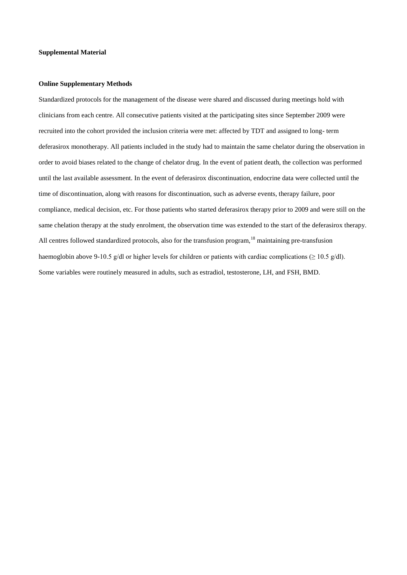## **Supplemental Material**

## **Online Supplementary Methods**

Standardized protocols for the management of the disease were shared and discussed during meetings hold with clinicians from each centre. All consecutive patients visited at the participating sites since September 2009 were recruited into the cohort provided the inclusion criteria were met: affected by TDT and assigned to long- term deferasirox monotherapy. All patients included in the study had to maintain the same chelator during the observation in order to avoid biases related to the change of chelator drug. In the event of patient death, the collection was performed until the last available assessment. In the event of deferasirox discontinuation, endocrine data were collected until the time of discontinuation, along with reasons for discontinuation, such as adverse events, therapy failure, poor compliance, medical decision, etc. For those patients who started deferasirox therapy prior to 2009 and were still on the same chelation therapy at the study enrolment, the observation time was extended to the start of the deferasirox therapy. All centres followed standardized protocols, also for the transfusion program,<sup>18</sup> maintaining pre-transfusion haemoglobin above 9-10.5 g/dl or higher levels for children or patients with cardiac complications ( $\geq 10.5$  g/dl). Some variables were routinely measured in adults, such as estradiol, testosterone, LH, and FSH, BMD.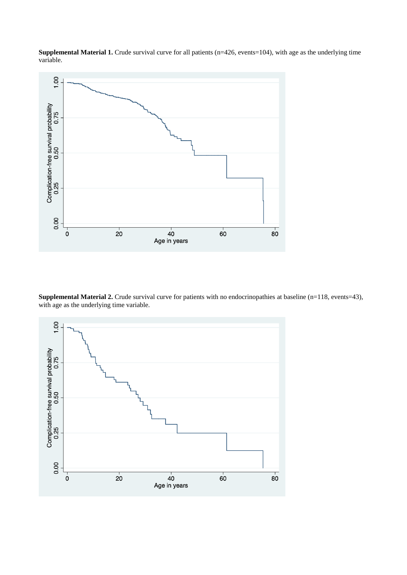**Supplemental Material 1.** Crude survival curve for all patients (n=426, events=104), with age as the underlying time variable.



**Supplemental Material 2.** Crude survival curve for patients with no endocrinopathies at baseline (n=118, events=43), with age as the underlying time variable.

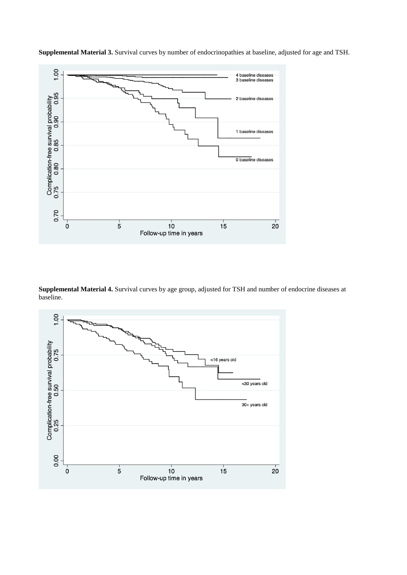

**Supplemental Material 3.** Survival curves by number of endocrinopathies at baseline, adjusted for age and TSH.

**Supplemental Material 4.** Survival curves by age group, adjusted for TSH and number of endocrine diseases at baseline.